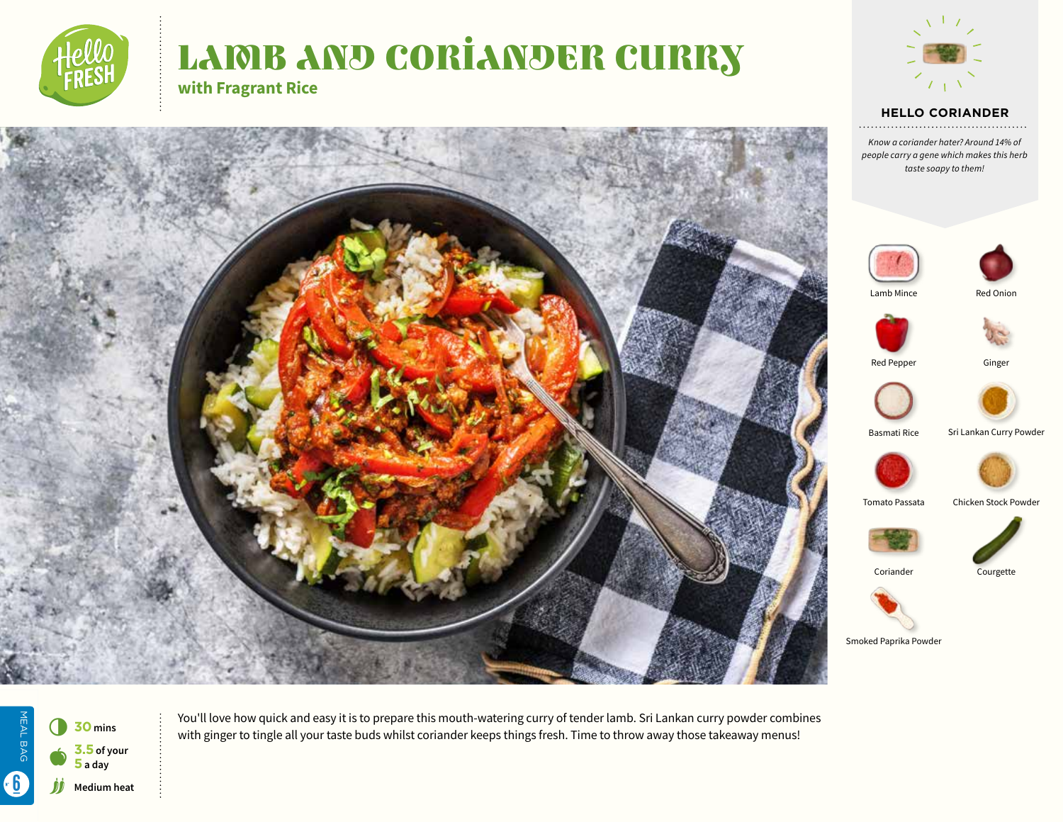

# LAMB AND CORIANDER CURRY **with Fragrant Rice**



#### **HELLO CORIANDER**

*Know a coriander hater? Around 14% of people carry a gene which makes this herb taste soapy to them!*





Lamb Mince Red Onion







Basmati Rice Sri Lankan Curry Powder







Coriander Courgette



Smoked Paprika Powder

MEAL BAG MEAL BAG 6 **<sup>30</sup> mins 3.5 of your**   $\bullet$ **5 a day** 6jj **Medium heat**

You'll love how quick and easy it is to prepare this mouth-watering curry of tender lamb. Sri Lankan curry powder combines with ginger to tingle all your taste buds whilst coriander keeps things fresh. Time to throw away those takeaway menus!